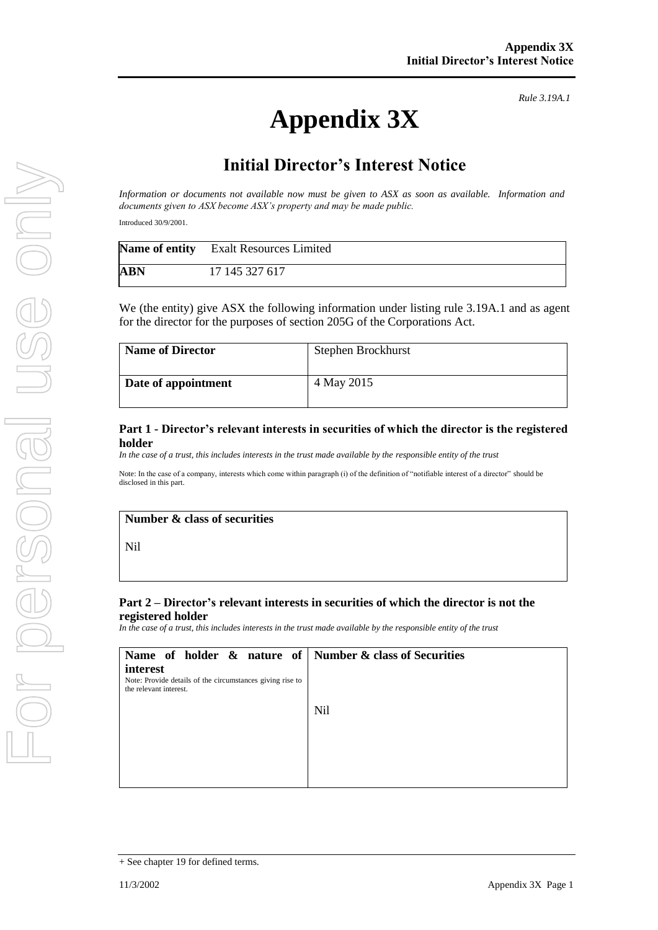# **Appendix 3X**

*Rule 3.19A.1*

# **Initial Director's Interest Notice**

*Information or documents not available now must be given to ASX as soon as available. Information and documents given to ASX become ASX's property and may be made public.*

Introduced 30/9/2001.

|     | Name of entity Exalt Resources Limited |
|-----|----------------------------------------|
| ABN | 17 145 327 617                         |

We (the entity) give ASX the following information under listing rule 3.19A.1 and as agent for the director for the purposes of section 205G of the Corporations Act.

| <b>Name of Director</b> | Stephen Brockhurst |
|-------------------------|--------------------|
| Date of appointment     | 4 May 2015         |

#### **Part 1 - Director's relevant interests in securities of which the director is the registered holder**

*In the case of a trust, this includes interests in the trust made available by the responsible entity of the trust* 

Note: In the case of a company, interests which come within paragraph (i) of the definition of "notifiable interest of a director" should be disclosed in this part.

### **Number & class of securities**

Nil

#### **Part 2 – Director's relevant interests in securities of which the director is not the registered holder**

*In the case of a trust, this includes interests in the trust made available by the responsible entity of the trust*

| Name of holder $\&$ nature of Number $\&$ class of Securities                       |     |
|-------------------------------------------------------------------------------------|-----|
| interest                                                                            |     |
| Note: Provide details of the circumstances giving rise to<br>the relevant interest. |     |
|                                                                                     | Nil |
|                                                                                     |     |
|                                                                                     |     |
|                                                                                     |     |